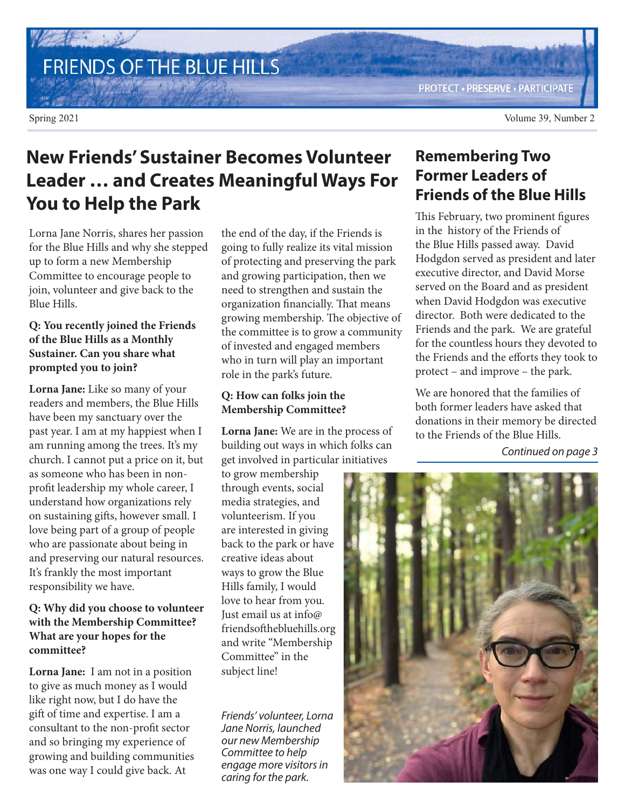# FRIENDS OF THE BLUE HILLS

**PROTECT - PRESERVE - PARTICIPATE** 

Spring 2021 Volume 39, Number 2

## **New Friends' Sustainer Becomes Volunteer Leader … and Creates Meaningful Ways For You to Help the Park**

Lorna Jane Norris, shares her passion for the Blue Hills and why she stepped up to form a new Membership Committee to encourage people to join, volunteer and give back to the Blue Hills.

### **Q: You recently joined the Friends of the Blue Hills as a Monthly Sustainer. Can you share what prompted you to join?**

**Lorna Jane:** Like so many of your readers and members, the Blue Hills have been my sanctuary over the past year. I am at my happiest when I am running among the trees. It's my church. I cannot put a price on it, but as someone who has been in nonprofit leadership my whole career, I understand how organizations rely on sustaining gifts, however small. I love being part of a group of people who are passionate about being in and preserving our natural resources. It's frankly the most important responsibility we have.

### **Q: Why did you choose to volunteer with the Membership Committee? What are your hopes for the committee?**

**Lorna Jane:** I am not in a position to give as much money as I would like right now, but I do have the gift of time and expertise. I am a consultant to the non-profit sector and so bringing my experience of growing and building communities was one way I could give back. At

the end of the day, if the Friends is going to fully realize its vital mission of protecting and preserving the park and growing participation, then we need to strengthen and sustain the organization financially. That means growing membership. The objective of the committee is to grow a community of invested and engaged members who in turn will play an important role in the park's future.

### **Q: How can folks join the Membership Committee?**

**Lorna Jane:** We are in the process of building out ways in which folks can get involved in particular initiatives

to grow membership through events, social media strategies, and volunteerism. If you are interested in giving back to the park or have creative ideas about ways to grow the Blue Hills family, I would love to hear from you. Just email us at info@ friendsofthebluehills.org and write "Membership Committee" in the subject line!

*Friends' volunteer, Lorna Jane Norris, launched our new Membership Committee to help engage more visitors in caring for the park.*

## **Remembering Two Former Leaders of Friends of the Blue Hills**

This February, two prominent figures in the history of the Friends of the Blue Hills passed away. David Hodgdon served as president and later executive director, and David Morse served on the Board and as president when David Hodgdon was executive director. Both were dedicated to the Friends and the park. We are grateful for the countless hours they devoted to the Friends and the efforts they took to protect – and improve – the park.

We are honored that the families of both former leaders have asked that donations in their memory be directed to the Friends of the Blue Hills.

*Continued on page 3*

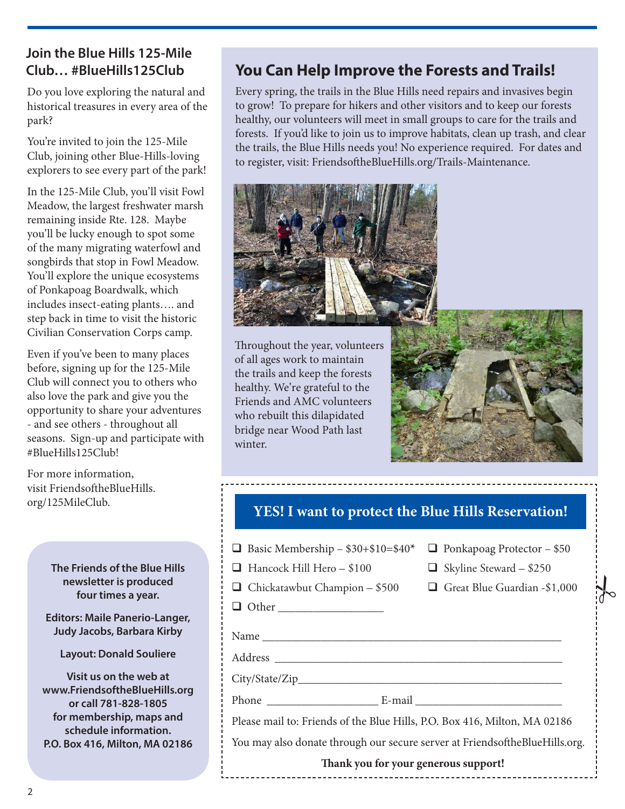### **Join the Blue Hills 125-Mile Club… #BlueHills125Club**

Do you love exploring the natural and historical treasures in every area of the park?

You're invited to join the 125-Mile Club, joining other Blue-Hills-loving explorers to see every part of the park!

In the 125-Mile Club, you'll visit Fowl Meadow, the largest freshwater marsh remaining inside Rte. 128. Maybe you'll be lucky enough to spot some of the many migrating waterfowl and songbirds that stop in Fowl Meadow. You'll explore the unique ecosystems of Ponkapoag Boardwalk, which includes insect-eating plants…. and step back in time to visit the historic Civilian Conservation Corps camp.

Even if you've been to many places before, signing up for the 125-Mile Club will connect you to others who also love the park and give you the opportunity to share your adventures - and see others - throughout all seasons. Sign-up and participate with #BlueHills125Club!

For more information, visit FriendsoftheBlueHills. org/125MileClub.

> **The Friends of the Blue Hills newsletter is produced four times a year.**

**Editors: Maile Panerio-Langer, Judy Jacobs, Barbara Kirby**

**Layout: Donald Souliere**

**Visit us on the web at www.FriendsoftheBlueHills.org or call 781-828-1805 for membership, maps and schedule information. P.O. Box 416, Milton, MA 02186**

## **You Can Help Improve the Forests and Trails!**

Every spring, the trails in the Blue Hills need repairs and invasives begin to grow! To prepare for hikers and other visitors and to keep our forests healthy, our volunteers will meet in small groups to care for the trails and forests. If you'd like to join us to improve habitats, clean up trash, and clear the trails, the Blue Hills needs you! No experience required. For dates and to register, visit: FriendsoftheBlueHills.org/Trails-Maintenance.



Throughout the year, volunteers of all ages work to maintain the trails and keep the forests healthy. We're grateful to the Friends and AMC volunteers who rebuilt this dilapidated bridge near Wood Path last winter.



### **YES! I want to protect the Blue Hills Reservation!**

----------------

| <b><math>\Box</math></b> Basic Membership - \$30+\$10=\$40* $\Box$ Ponkapoag Protector - \$50 |  |
|-----------------------------------------------------------------------------------------------|--|
|-----------------------------------------------------------------------------------------------|--|

| $\Box$ Hancock Hill Hero – \$100 |  |
|----------------------------------|--|
|                                  |  |

 $\Box$  Chickatawbut Champion – \$500  $\Box$  Great Blue Guardian -\$1,000

 $\Box$  Skyline Steward – \$250

 $\frac{1}{6}$ 

Other \_\_\_\_\_\_\_\_\_\_\_\_\_\_\_\_\_\_

Name

Address \_\_\_\_\_\_\_\_\_\_\_\_\_\_\_\_\_\_\_\_\_\_\_\_\_\_\_\_\_\_\_\_\_\_\_\_\_\_\_\_\_\_\_\_\_\_\_\_\_

 $City/State/Zip$ 

Phone E-mail E-mail E-mail  $\sim$ 

Please mail to: Friends of the Blue Hills, P.O. Box 416, Milton, MA 02186

You may also donate through our secure server at FriendsoftheBlueHills.org.

#### **Thank you for your generous support!**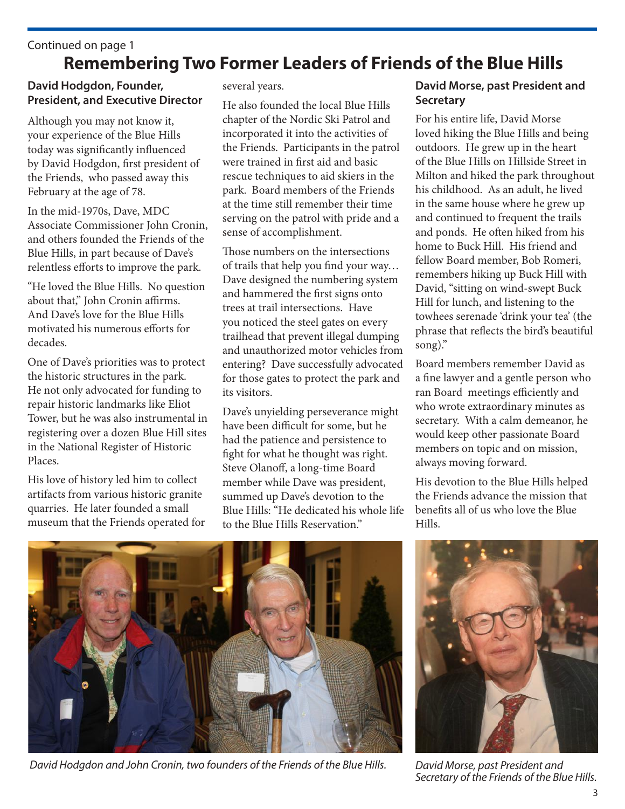## **Remembering Two Former Leaders of Friends of the Blue Hills** Continued on page 1

### **David Hodgdon, Founder, President, and Executive Director**

Although you may not know it, your experience of the Blue Hills today was significantly influenced by David Hodgdon, first president of the Friends, who passed away this February at the age of 78.

In the mid-1970s, Dave, MDC Associate Commissioner John Cronin, and others founded the Friends of the Blue Hills, in part because of Dave's relentless efforts to improve the park.

"He loved the Blue Hills. No question about that," John Cronin affirms. And Dave's love for the Blue Hills motivated his numerous efforts for decades.

One of Dave's priorities was to protect the historic structures in the park. He not only advocated for funding to repair historic landmarks like Eliot Tower, but he was also instrumental in registering over a dozen Blue Hill sites in the National Register of Historic Places.

His love of history led him to collect artifacts from various historic granite quarries. He later founded a small museum that the Friends operated for several years.

He also founded the local Blue Hills chapter of the Nordic Ski Patrol and incorporated it into the activities of the Friends. Participants in the patrol were trained in first aid and basic rescue techniques to aid skiers in the park. Board members of the Friends at the time still remember their time serving on the patrol with pride and a sense of accomplishment.

Those numbers on the intersections of trails that help you find your way… Dave designed the numbering system and hammered the first signs onto trees at trail intersections. Have you noticed the steel gates on every trailhead that prevent illegal dumping and unauthorized motor vehicles from entering? Dave successfully advocated for those gates to protect the park and its visitors.

Dave's unyielding perseverance might have been difficult for some, but he had the patience and persistence to fight for what he thought was right. Steve Olanoff, a long-time Board member while Dave was president, summed up Dave's devotion to the Blue Hills: "He dedicated his whole life to the Blue Hills Reservation."

### **David Morse, past President and Secretary**

For his entire life, David Morse loved hiking the Blue Hills and being outdoors. He grew up in the heart of the Blue Hills on Hillside Street in Milton and hiked the park throughout his childhood. As an adult, he lived in the same house where he grew up and continued to frequent the trails and ponds. He often hiked from his home to Buck Hill. His friend and fellow Board member, Bob Romeri, remembers hiking up Buck Hill with David, "sitting on wind-swept Buck Hill for lunch, and listening to the towhees serenade 'drink your tea' (the phrase that reflects the bird's beautiful song)."

Board members remember David as a fine lawyer and a gentle person who ran Board meetings efficiently and who wrote extraordinary minutes as secretary. With a calm demeanor, he would keep other passionate Board members on topic and on mission, always moving forward.

His devotion to the Blue Hills helped the Friends advance the mission that benefits all of us who love the Blue Hills.



 *David Hodgdon and John Cronin, two founders of the Friends of the Blue Hills. David Morse, past President and* 



*Secretary of the Friends of the Blue Hills.*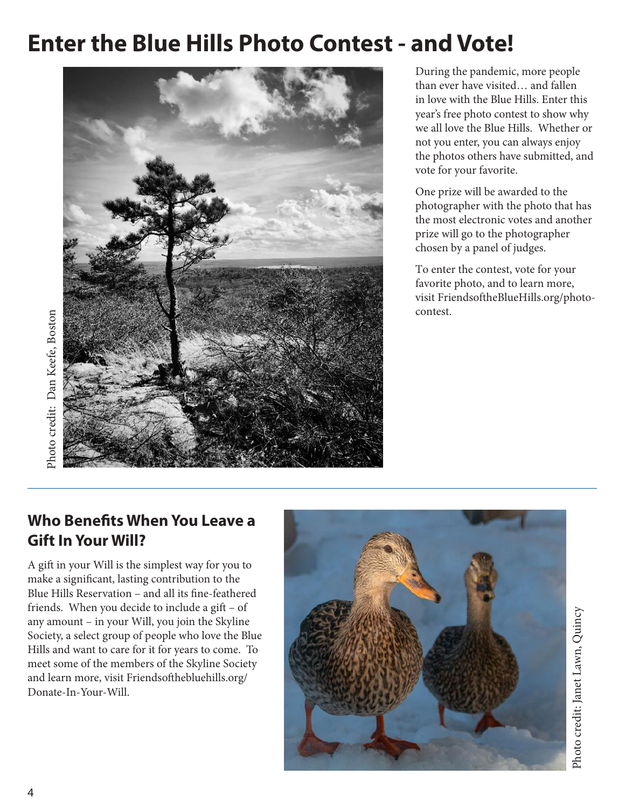## **Enter the Blue Hills Photo Contest - and Vote!**



Photo credit: Dan Keefe, Boston Photo credit: Dan Keefe, Boston

### During the pandemic, more people than ever have visited… and fallen in love with the Blue Hills. Enter this year's free photo contest to show why we all love the Blue Hills. Whether or not you enter, you can always enjoy the photos others have submitted, and vote for your favorite.

One prize will be awarded to the photographer with the photo that has the most electronic votes and another prize will go to the photographer chosen by a panel of judges.

To enter the contest, vote for your favorite photo, and to learn more, visit FriendsoftheBlueHills.org/photocontest.

## **Who Benefits When You Leave a Gift In Your Will?**

A gift in your Will is the simplest way for you to make a significant, lasting contribution to the Blue Hills Reservation – and all its fine-feathered friends. When you decide to include a gift – of any amount – in your Will, you join the Skyline Society, a select group of people who love the Blue Hills and want to care for it for years to come. To meet some of the members of the Skyline Society and learn more, visit Friendsofthebluehills.org/ Donate-In-Your-Will.

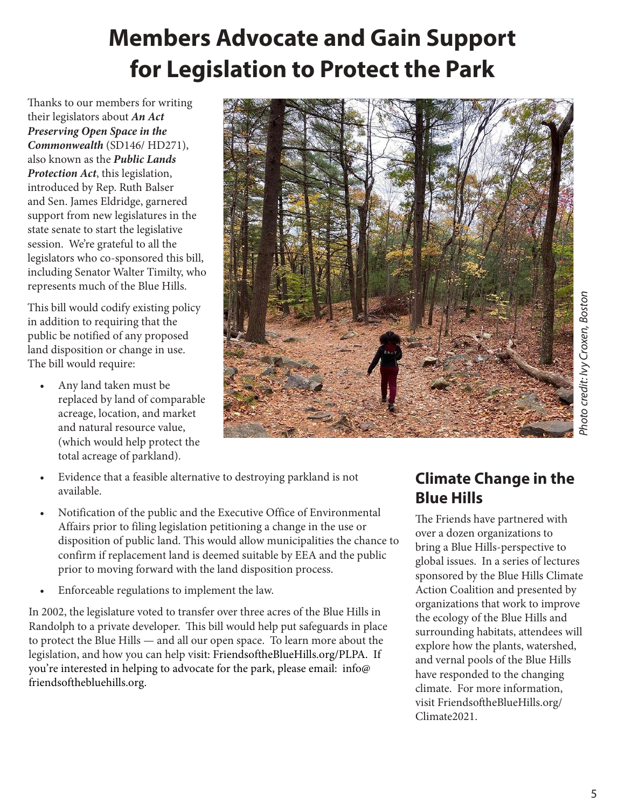## **Members Advocate and Gain Support for Legislation to Protect the Park**

Thanks to our members for writing their legislators about **An Act Preserving Open Space in the Commonwealth** (SD146/ HD271), also known as the **Public Lands Protection Act**, this legislation, introduced by Rep. Ruth Balser and Sen. James Eldridge, garnered support from new legislatures in the state senate to start the legislative session. We're grateful to all the legislators who co-sponsored this bill, including Senator Walter Timilty, who represents much of the Blue Hills.

This bill would codify existing policy in addition to requiring that the public be notified of any proposed land disposition or change in use. The bill would require:

• Any land taken must be replaced by land of comparable acreage, location, and market and natural resource value, (which would help protect the total acreage of parkland).



*Photo credit: Ivy Croxen, Boston*Photo credit: Ivy Croxen, Bostor

- Evidence that a feasible alternative to destroying parkland is not available.
- Notification of the public and the Executive Office of Environmental Affairs prior to filing legislation petitioning a change in the use or disposition of public land. This would allow municipalities the chance to confirm if replacement land is deemed suitable by EEA and the public prior to moving forward with the land disposition process.
- Enforceable regulations to implement the law.

In 2002, the legislature voted to transfer over three acres of the Blue Hills in Randolph to a private developer. This bill would help put safeguards in place to protect the Blue Hills — and all our open space. To learn more about the legislation, and how you can help visit: FriendsoftheBlueHills.org/PLPA. If you're interested in helping to advocate for the park, please email: info@ friendsofthebluehills.org.

## **Climate Change in the Blue Hills**

The Friends have partnered with over a dozen organizations to bring a Blue Hills-perspective to global issues. In a series of lectures sponsored by the Blue Hills Climate Action Coalition and presented by organizations that work to improve the ecology of the Blue Hills and surrounding habitats, attendees will explore how the plants, watershed, and vernal pools of the Blue Hills have responded to the changing climate. For more information, visit FriendsoftheBlueHills.org/ Climate2021.